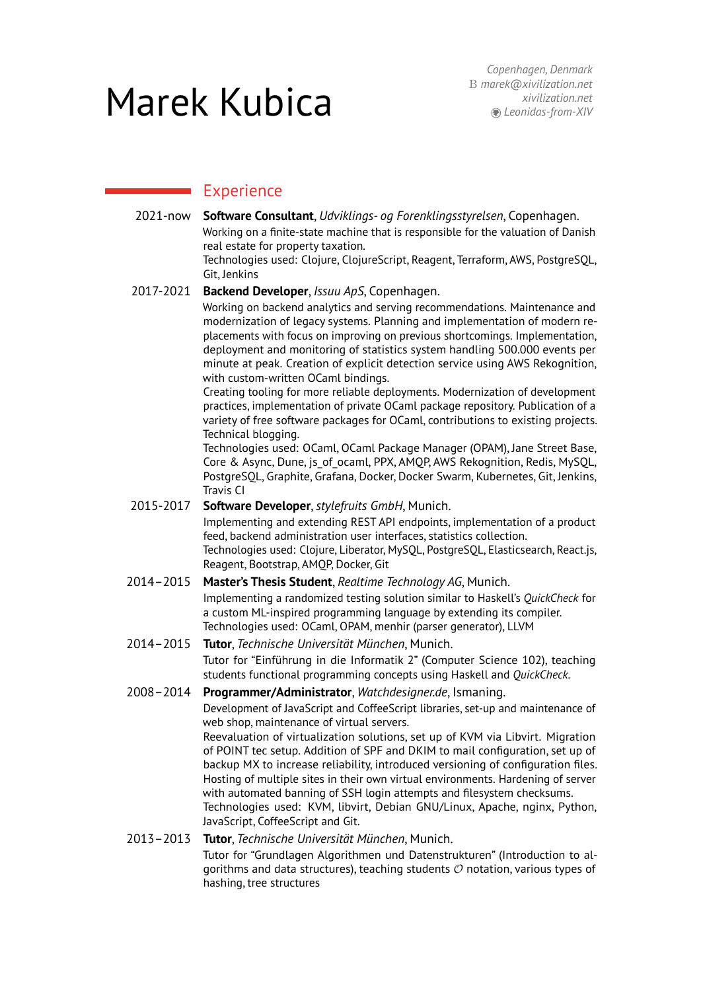# Marek Kubica

# **Experience**

- 2021-now **Software Consultant**, *[Udviklings- og Forenklingsstyrelsen](https://www.ufst.dk/)*, Copenhagen. Working on a finite-state machine that is responsible for the valuation of Danish real estate for property taxation. Technologies used: Clojure, ClojureScript, Reagent, Terraform, AWS, PostgreSQL, Git, Jenkins
- 2017-2021 **Backend Developer**, *[Issuu ApS](https://issuu.com/)*, Copenhagen.

Working on backend analytics and serving recommendations. Maintenance and modernization of legacy systems. Planning and implementation of modern replacements with focus on improving on previous shortcomings. Implementation, deployment and monitoring of statistics system handling 500.000 events per minute at peak. Creation of explicit detection service using AWS Rekognition, with custom-written OCaml bindings.

Creating tooling for more reliable deployments. Modernization of development practices, implementation of private OCaml package repository. Publication of a variety of free software packages for OCaml, contributions to existing projects. Technical blogging.

Technologies used: OCaml, OCaml Package Manager (OPAM), Jane Street Base, Core & Async, Dune, is of ocaml, PPX, AMOP, AWS Rekognition, Redis, MySOL, PostgreSQL, Graphite, Grafana, Docker, Docker Swarm, Kubernetes, Git, Jenkins, Travis CI

- 2015-2017 **Software Developer**,*stylefruits GmbH*, Munich. Implementing and extending REST API endpoints, implementation of a product feed, backend administration user interfaces, statistics collection. Technologies used: Clojure, Liberator, MySQL, PostgreSQL, Elasticsearch, React.js, Reagent, Bootstrap, AMQP, Docker, Git
- 2014–2015 **Master's Thesis Student**, *Realtime Technology AG*, Munich. Implementing a randomized testing solution similar to Haskell's *QuickCheck* for a custom ML-inspired programming language by extending its compiler. Technologies used: OCaml, OPAM, menhir (parser generator), LLVM
- 2014–2015 **Tutor**, *Technische Universität München*, Munich. Tutor for "Einführung in die Informatik 2" (Computer Science 102), teaching students functional programming concepts using Haskell and *QuickCheck*.
- 2008–2014 **Programmer/Administrator**, *[Watchdesigner.de](https://www.watchdesigner.de)*, Ismaning. Development of JavaScript and CoffeeScript libraries, set-up and maintenance of web shop, maintenance of virtual servers. Reevaluation of virtualization solutions, set up of KVM via Libvirt. Migration of POINT tec setup. Addition of SPF and DKIM to mail configuration, set up of backup MX to increase reliability, introduced versioning of configuration files. Hosting of multiple sites in their own virtual environments. Hardening of server with automated banning of SSH login attempts and filesystem checksums. Technologies used: KVM, libvirt, Debian GNU/Linux, Apache, nginx, Python, JavaScript, CoffeeScript and Git. 2013–2013 **Tutor**, *Technische Universität München*, Munich.
	- Tutor for "Grundlagen Algorithmen und Datenstrukturen" (Introduction to algorithms and data structures), teaching students  $\mathcal O$  notation, various types of hashing, tree structures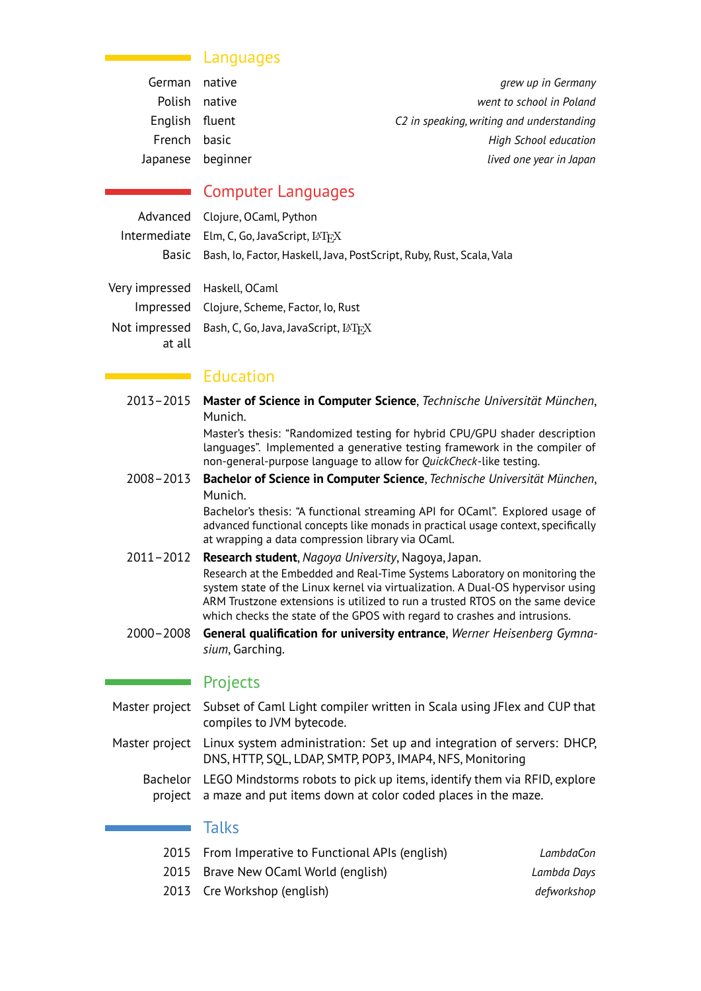#### Languages

| grew up in Germany                        |
|-------------------------------------------|
| went to school in Poland                  |
| C2 in speaking, writing and understanding |
| <b>High School education</b>              |
| lived one year in Japan                   |
|                                           |

# Computer Languages

| Advanced Clojure, OCaml, Python                                            |
|----------------------------------------------------------------------------|
| Intermediate $Elm, C, Go, JavaScript, \Delta T_F X$                        |
| Basic Bash, Io, Factor, Haskell, Java, PostScript, Ruby, Rust, Scala, Vala |

Very impressed Haskell, OCaml Impressed Clojure, Scheme, Factor, Io, Rust  $\mathsf{Not}\text{ }$  impressed  $\;$  Bash, C, Go, Java, JavaScript,  $\mathbb{M}_{\mathrm{F}}$ X at all

#### $\blacksquare$  Education

2013–2015 **Master of Science in Computer Science**, *Technische Universität München*, Munich.

Master's thesis: "Randomized testing for hybrid CPU/GPU shader description languages". Implemented a generative testing framework in the compiler of non-general-purpose language to allow for *QuickCheck*-like testing.

2008–2013 **Bachelor of Science in Computer Science**, *Technische Universität München*, Munich.

> Bachelor's thesis: "A functional streaming API for OCaml". Explored usage of advanced functional concepts like monads in practical usage context, specifically at wrapping a data compression library via OCaml.

- 2011–2012 **Research student**, *Nagoya University*, Nagoya, Japan. Research at the [Embedded and Real-Time Systems Laboratory](http://www.ertl.jp) on monitoring the system state of the Linux kernel via virtualization. A Dual-OS hypervisor using ARM Trustzone extensions is utilized to run a trusted RTOS on the same device which checks the state of the GPOS with regard to crashes and intrusions.
- 2000–2008 **General qualification for university entrance**, *Werner Heisenberg Gymnasium*, Garching.

#### **Projects**

- Master project Subset of Caml Light compiler written in Scala using JFlex and CUP that compiles to JVM bytecode.
- Master project Linux system administration: Set up and integration of servers: DHCP, DNS, HTTP, SQL, LDAP, SMTP, POP3, IMAP4, NFS, Monitoring
	- Bachelor LEGO Mindstorms robots to pick up items, identify them via RFID, explore project a maze and put items down at color coded places in the maze.

#### Talks

| 2015 From Imperative to Functional APIs (english) | LambdaCon   |
|---------------------------------------------------|-------------|
| 2015 Brave New OCaml World (english)              | Lambda Days |
| 2013 Cre Workshop (english)                       | defworkshop |